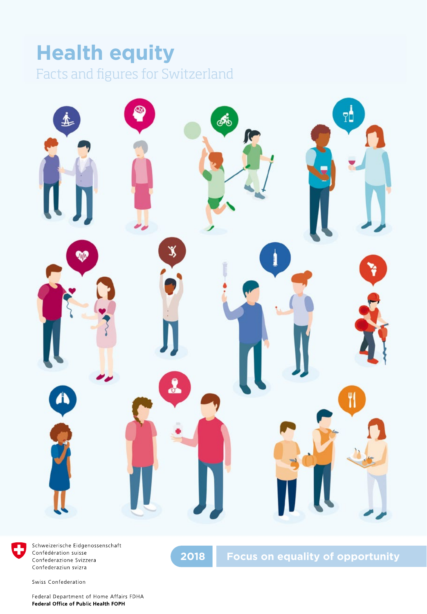## **Health equity** Facts and figures for Switzerland





Schweizerische Eidgenossenschaft Confédération suisse Confederazione Svizzera Confederaziun svizra

Swiss Confederation

Federal Department of Home Affairs FDHA Federal Office of Public Health FOPH

**2018 Focus on equality of opportunity**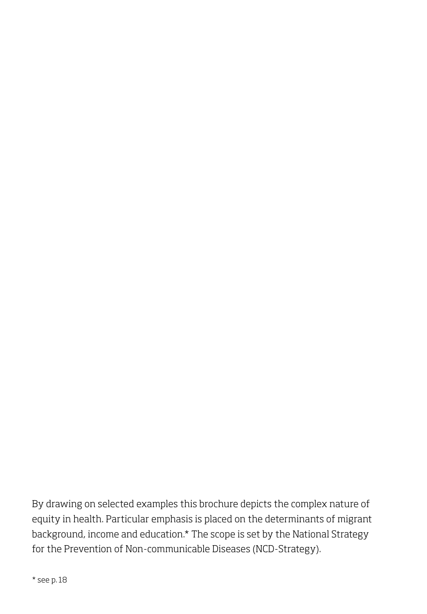By drawing on selected examples this brochure depicts the complex nature of equity in health. Particular emphasis is placed on the determinants of migrant background, income and education.\* The scope is set by the National Strategy for the Prevention of Non-communicable Diseases (NCD-Strategy).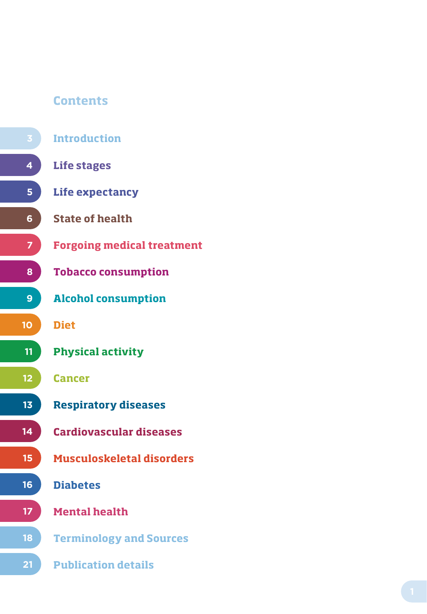### **Contents**

- **Introduction**
	- **Life stages**
	- **Life expectancy**
- **6 State of health**
	- **Forgoing medical treatment**
	- **Tobacco consumption**
	- **Alcohol consumption**
	- **Diet**

**9**

**10**

**7**

**8**

**4**

**5**

**12**

**11**

**13**

**14**

**15**

**16**

**18**

**21**

**17**

- **Physical activity**
- **Cancer**
- **Respiratory diseases**
	- **Cardiovascular diseases**
- **Musculoskeletal disorders**
- **Diabetes**
- **Mental health**
- **Terminology and Sources**
- **Publication details**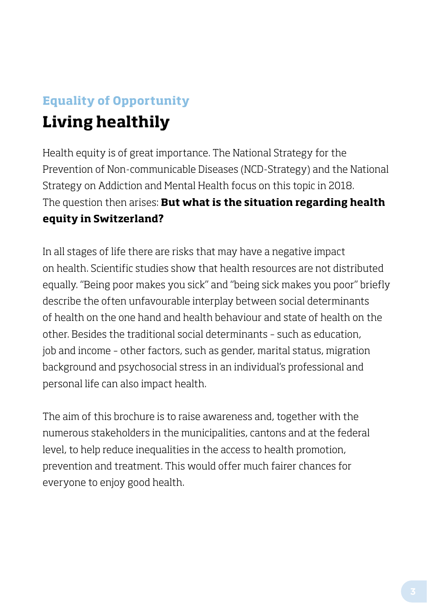## **Equality of Opportunity**

## **Living healthily**

Health equity is of great importance. The National Strategy for the Prevention of Non-communicable Diseases (NCD-Strategy) and the National Strategy on Addiction and Mental Health focus on this topic in 2018. The question then arises: **But what is the situation regarding health equity in Switzerland?** 

In all stages of life there are risks that may have a negative impact on health. Scientific studies show that health resources are not distributed equally. "Being poor makes you sick" and "being sick makes you poor" briefly describe the often unfavourable interplay between social determinants of health on the one hand and health behaviour and state of health on the other. Besides the traditional social determinants – such as education, job and income – other factors, such as gender, marital status, migration background and psychosocial stress in an individual's professional and personal life can also impact health.

The aim of this brochure is to raise awareness and, together with the numerous stakeholders in the municipalities, cantons and at the federal level, to help reduce inequalities in the access to health promotion, prevention and treatment. This would offer much fairer chances for everyone to enjoy good health.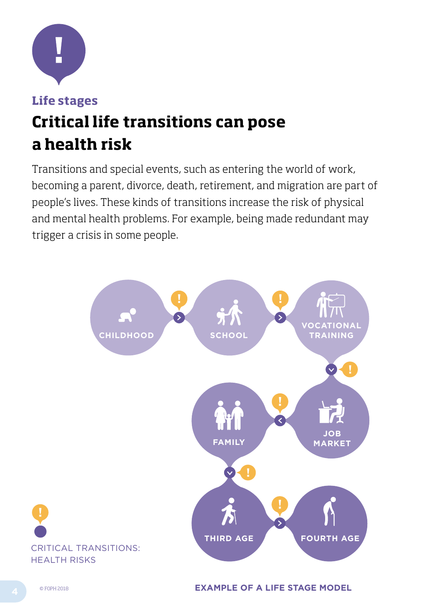

### **Life stages Critical life transitions can pose a health risk**

Transitions and special events, such as entering the world of work, becoming a parent, divorce, death, retirement, and migration are part of people's lives. These kinds of transitions increase the risk of physical and mental health problems. For example, being made redundant may trigger a crisis in some people.

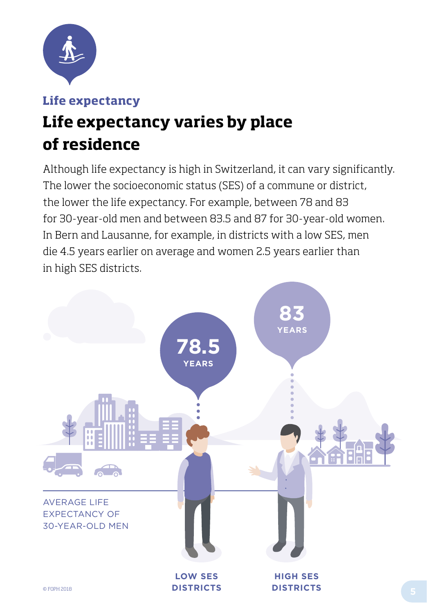

### **Life expectancy**

# **Life expectancy varies by place of residence**

Although life expectancy is high in Switzerland, it can vary significantly. The lower the socioeconomic status (SES) of a commune or district, the lower the life expectancy. For example, between 78 and 83 for 30-year-old men and between 83.5 and 87 for 30-year-old women. In Bern and Lausanne, for example, in districts with a low SES, men die 4.5 years earlier on average and women 2.5 years earlier than in high SES districts.

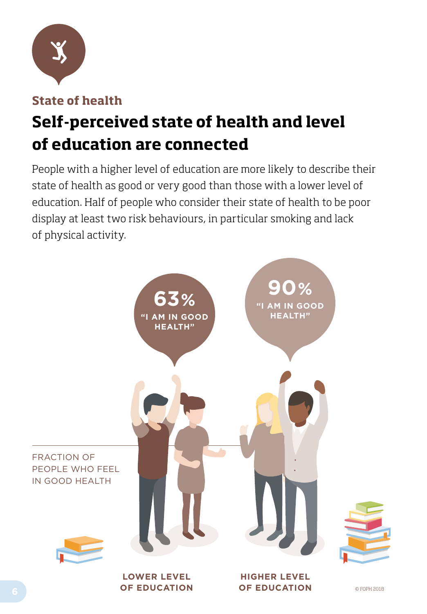

**State of health**

# **Self-perceived state of health and level of education are connected**

People with a higher level of education are more likely to describe their state of health as good or very good than those with a lower level of education. Half of people who consider their state of health to be poor display at least two risk behaviours, in particular smoking and lack of physical activity.

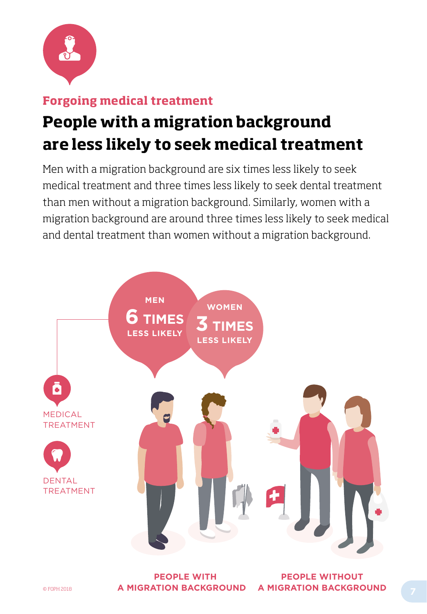

### **Forgoing medical treatment**

# **People with a migration background are less likely to seek medical treatment**

Men with a migration background are six times less likely to seek medical treatment and three times less likely to seek dental treatment than men without a migration background. Similarly, women with a migration background are around three times less likely to seek medical and dental treatment than women without a migration background.



**E** OFOPH 2018 **A MIGRATION BACKGROUND A MIGRATION BACKGROUND PEOPLE WITH** 

**PEOPLE WITHOUT A MIGRATION BACKGROUND**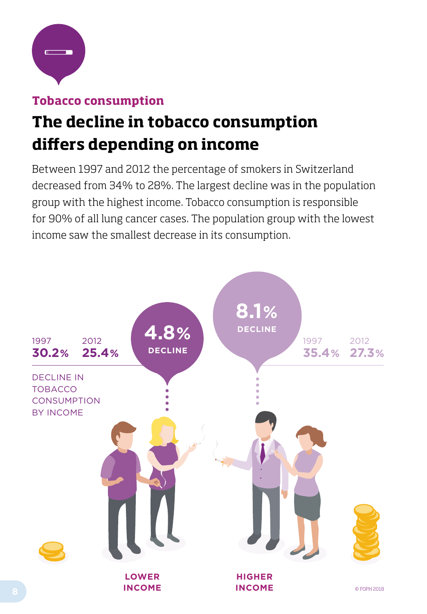

### **Tobacco consumption**

## **The decline in tobacco consumption differs depending on income**

Between 1997 and 2012 the percentage of smokers in Switzerland decreased from 34% to 28%. The largest decline was in the population group with the highest income. Tobacco consumption is responsible for 90% of all lung cancer cases. The population group with the lowest income saw the smallest decrease in its consumption.

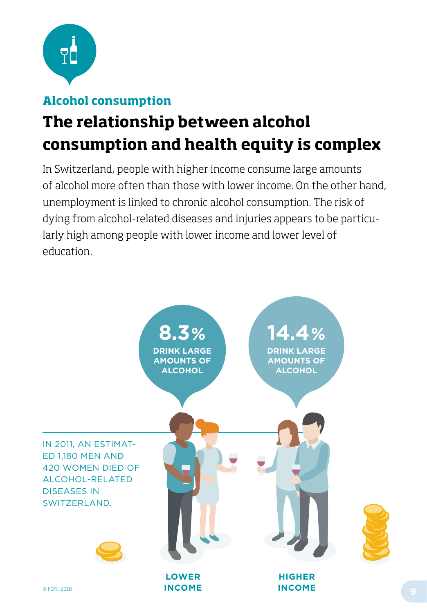

### **Alcohol consumption**

# **The relationship between alcohol consumption and health equity is complex**

In Switzerland, people with higher income consume large amounts of alcohol more often than those with lower income. On the other hand, unemployment is linked to chronic alcohol consumption. The risk of dying from alcohol-related diseases and injuries appears to be particularly high among people with lower income and lower level of education.

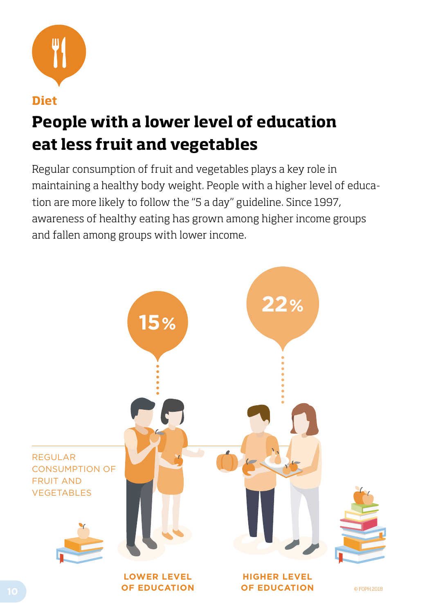

### **Diet**

## **People with a lower level of education eat less fruit and vegetables**

Regular consumption of fruit and vegetables plays a key role in maintaining a healthy body weight. People with a higher level of education are more likely to follow the "5 a day" guideline. Since 1997, awareness of healthy eating has grown among higher income groups and fallen among groups with lower income.

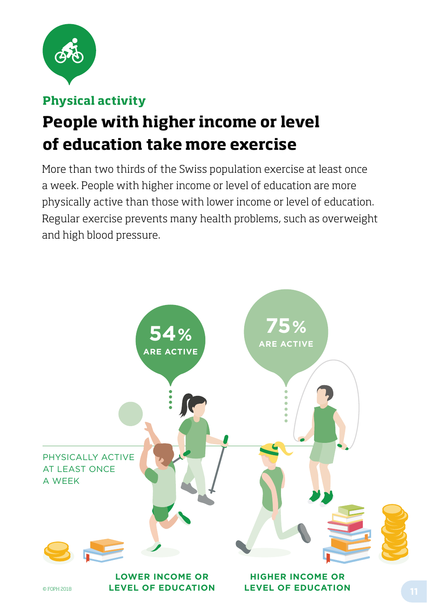

### **Physical activity**

# **People with higher income or level of education take more exercise**

More than two thirds of the Swiss population exercise at least once a week. People with higher income or level of education are more physically active than those with lower income or level of education. Regular exercise prevents many health problems, such as overweight and high blood pressure.

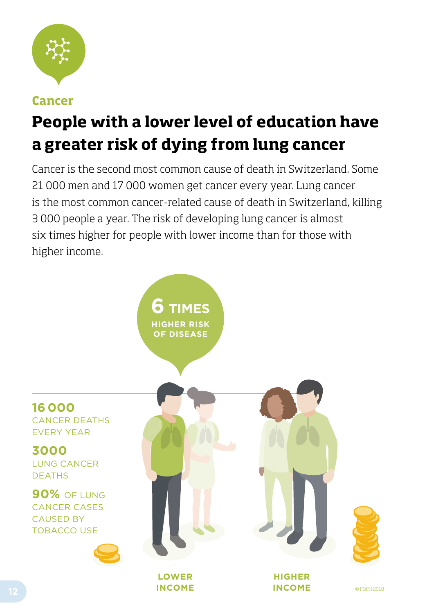

### **Cancer**

# **People with a lower level of education have a greater risk of dying from lung cancer**

Cancer is the second most common cause of death in Switzerland. Some 21 000 men and 17 000 women get cancer every year. Lung cancer is the most common cancer-related cause of death in Switzerland, killing 3 000 people a year. The risk of developing lung cancer is almost six times higher for people with lower income than for those with higher income.

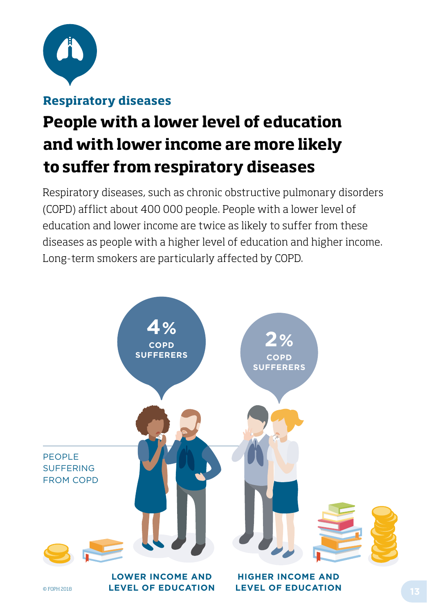

### **Respiratory diseases**

# **People with a lower level of education and with lower income are more likely to suffer from respiratory diseases**

Respiratory diseases, such as chronic obstructive pulmonary disorders (COPD) afflict about 400 000 people. People with a lower level of education and lower income are twice as likely to suffer from these diseases as people with a higher level of education and higher income. Long-term smokers are particularly affected by COPD.

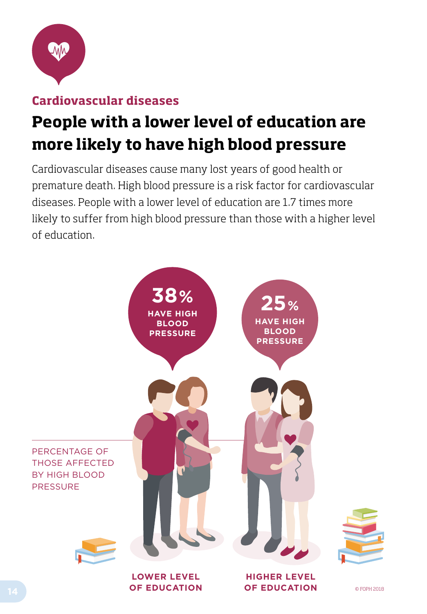

### **Cardiovascular diseases**

## **People with a lower level of education are more likely to have high blood pressure**

Cardiovascular diseases cause many lost years of good health or premature death. High blood pressure is a risk factor for cardiovascular diseases. People with a lower level of education are 1.7 times more likely to suffer from high blood pressure than those with a higher level of education.

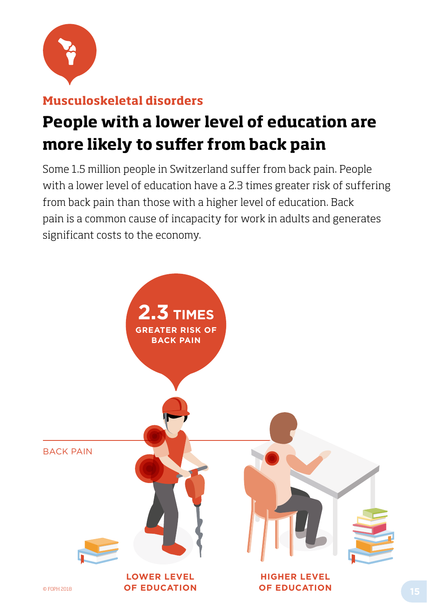

### **Musculoskeletal disorders**

## **People with a lower level of education are more likely to suffer from back pain**

Some 1.5 million people in Switzerland suffer from back pain. People with a lower level of education have a 2.3 times greater risk of suffering from back pain than those with a higher level of education. Back pain is a common cause of incapacity for work in adults and generates significant costs to the economy.

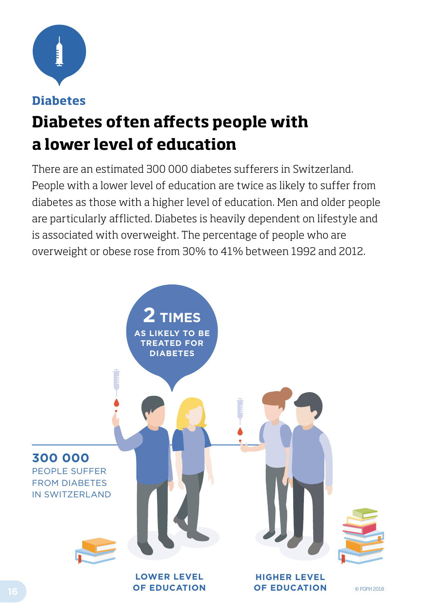

### **Diabetes**

# **Diabetes often affects people with a lower level of education**

There are an estimated 300 000 diabetes sufferers in Switzerland. People with a lower level of education are twice as likely to suffer from diabetes as those with a higher level of education. Men and older people are particularly afflicted. Diabetes is heavily dependent on lifestyle and is associated with overweight. The percentage of people who are overweight or obese rose from 30% to 41% between 1992 and 2012.

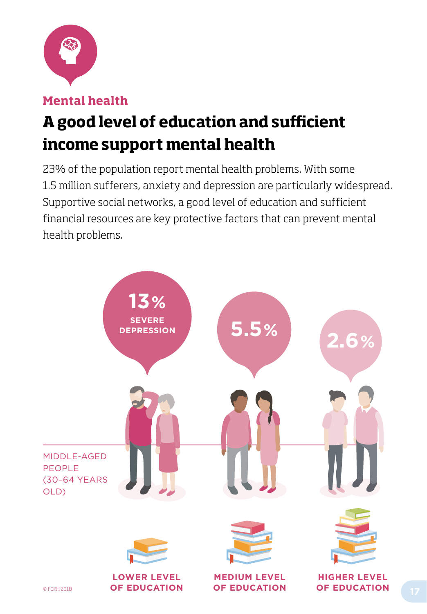

**Mental health**

# **A good level of education and sufficient income support mental health**

23% of the population report mental health problems. With some 1.5 million sufferers, anxiety and depression are particularly widespread. Supportive social networks, a good level of education and sufficient financial resources are key protective factors that can prevent mental health problems.

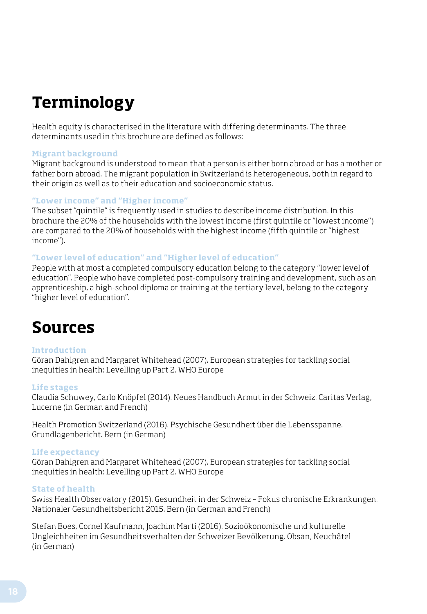## **Terminology**

Health equity is characterised in the literature with differing determinants. The three determinants used in this brochure are defined as follows:

#### **Migrant background**

Migrant background is understood to mean that a person is either born abroad or has a mother or father born abroad. The migrant population in Switzerland is heterogeneous, both in regard to their origin as well as to their education and socioeconomic status.

#### **"Lower income" and "Higher income"**

The subset "quintile" is frequently used in studies to describe income distribution. In this brochure the 20% of the households with the lowest income (first quintile or "lowest income") are compared to the 20% of households with the highest income (fifth quintile or "highest income").

#### **"Lower level of education" and "Higher level of education"**

People with at most a completed compulsory education belong to the category "lower level of education". People who have completed post-compulsory training and development, such as an apprenticeship, a high-school diploma or training at the tertiary level, belong to the category "higher level of education".

### **Sources**

#### **Introduction**

Göran Dahlgren and Margaret Whitehead (2007). European strategies for tackling social inequities in health: Levelling up Part 2. WHO Europe

#### **Life stages**

Claudia Schuwey, Carlo Knöpfel (2014). Neues Handbuch Armut in der Schweiz. Caritas Verlag, Lucerne (in German and French)

Health Promotion Switzerland (2016). Psychische Gesundheit über die Lebensspanne. Grundlagenbericht. Bern (in German)

#### **Life expectancy**

Göran Dahlgren and Margaret Whitehead (2007). European strategies for tackling social inequities in health: Levelling up Part 2. WHO Europe

#### **State of health**

Swiss Health Observatory (2015). Gesundheit in der Schweiz – Fokus chronische Erkrankungen. Nationaler Gesundheitsbericht 2015. Bern (in German and French)

Stefan Boes, Cornel Kaufmann, Joachim Marti (2016). Sozioökonomische und kulturelle Ungleichheiten im Gesundheitsverhalten der Schweizer Bevölkerung. Obsan, Neuchâtel (in German)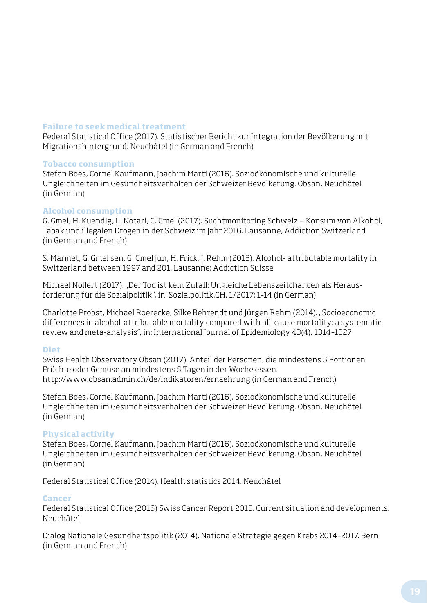#### **Failure to seek medical treatment**

Federal Statistical Office (2017). Statistischer Bericht zur Integration der Bevölkerung mit Migrationshintergrund. Neuchâtel (in German and French)

#### **Tobacco consumption**

Stefan Boes, Cornel Kaufmann, Joachim Marti (2016). Sozioökonomische und kulturelle Ungleichheiten im Gesundheitsverhalten der Schweizer Bevölkerung. Obsan, Neuchâtel (in German)

#### **Alcohol consumption**

G. Gmel, H. Kuendig, L. Notari, C. Gmel (2017). Suchtmonitoring Schweiz — Konsum von Alkohol, Tabak und illegalen Drogen in der Schweiz im Jahr 2016. Lausanne, Addiction Switzerland (in German and French)

S. Marmet, G. Gmel sen, G. Gmel jun, H. Frick, J. Rehm (2013). Alcohol- attributable mortality in Switzerland between 1997 and 201. Lausanne: Addiction Suisse

Michael Nollert (2017). "Der Tod ist kein Zufall: Ungleiche Lebenszeitchancen als Herausforderung für die Sozialpolitik", in: Sozialpolitik.CH, 1/2017: 1–14 (in German)

Charlotte Probst, Michael Roerecke, Silke Behrendt und Jürgen Rehm (2014). "Socioeconomic differences in alcohol-attributable mortality compared with all-cause mortality: a systematic review and meta-analysis", in: International Journal of Epidemiology 43(4), 1314–1327

#### **Diet**

Swiss Health Observatory Obsan (2017). Anteil der Personen, die mindestens 5 Portionen Früchte oder Gemüse an mindestens 5 Tagen in der Woche essen. http://www.obsan.admin.ch/de/indikatoren/ernaehrung (in German and French)

Stefan Boes, Cornel Kaufmann, Joachim Marti (2016). Sozioökonomische und kulturelle Ungleichheiten im Gesundheitsverhalten der Schweizer Bevölkerung. Obsan, Neuchâtel (in German)

#### **Physical activity**

Stefan Boes, Cornel Kaufmann, Joachim Marti (2016). Sozioökonomische und kulturelle Ungleichheiten im Gesundheitsverhalten der Schweizer Bevölkerung. Obsan, Neuchâtel (in German)

Federal Statistical Office (2014). Health statistics 2014. Neuchâtel

#### **Cancer**

Federal Statistical Office (2016) Swiss Cancer Report 2015. Current situation and developments. Neuchâtel

Dialog Nationale Gesundheitspolitik (2014). Nationale Strategie gegen Krebs 2014–2017. Bern (in German and French)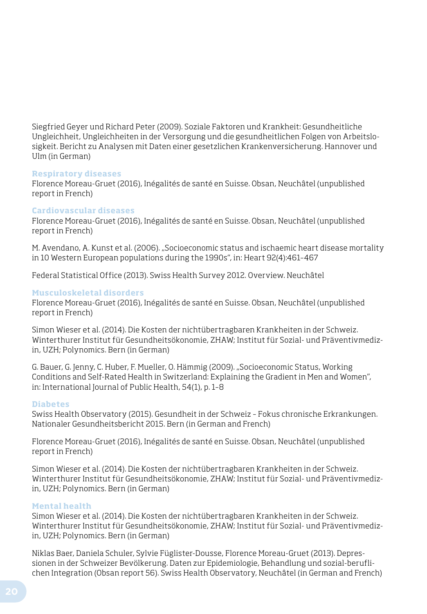Siegfried Geyer und Richard Peter (2009). Soziale Faktoren und Krankheit: Gesundheitliche Ungleichheit, Ungleichheiten in der Versorgung und die gesundheitlichen Folgen von Arbeitslosigkeit. Bericht zu Analysen mit Daten einer gesetzlichen Krankenversicherung. Hannover und Ulm (in German)

#### **Respiratory diseases**

Florence Moreau-Gruet (2016), Inégalités de santé en Suisse. Obsan, Neuchâtel (unpublished report in French)

#### **Cardiovascular diseases**

Florence Moreau-Gruet (2016), Inégalités de santé en Suisse. Obsan, Neuchâtel (unpublished report in French)

M. Avendano, A. Kunst et al. (2006). "Socioeconomic status and ischaemic heart disease mortality in 10 Western European populations during the 1990s", in: Heart 92(4):461–467

Federal Statistical Office (2013). Swiss Health Survey 2012. Overview. Neuchâtel

#### **Musculoskeletal disorders**

Florence Moreau-Gruet (2016), Inégalités de santé en Suisse. Obsan, Neuchâtel (unpublished report in French)

Simon Wieser et al. (2014). Die Kosten der nichtübertragbaren Krankheiten in der Schweiz. Winterthurer Institut für Gesundheitsökonomie, ZHAW; Institut für Sozial- und Präventivmedizin, UZH; Polynomics. Bern (in German)

G. Bauer, G. Jenny, C. Huber, F. Mueller, O. Hämmig (2009). "Socioeconomic Status, Working Conditions and Self-Rated Health in Switzerland: Explaining the Gradient in Men and Women", in: International Journal of Public Health, 54(1), p. 1–8

#### **Diabetes**

Swiss Health Observatory (2015). Gesundheit in der Schweiz – Fokus chronische Erkrankungen. Nationaler Gesundheitsbericht 2015. Bern (in German and French)

Florence Moreau-Gruet (2016), Inégalités de santé en Suisse. Obsan, Neuchâtel (unpublished report in French)

Simon Wieser et al. (2014). Die Kosten der nichtübertragbaren Krankheiten in der Schweiz. Winterthurer Institut für Gesundheitsökonomie, ZHAW; Institut für Sozial- und Präventivmedizin, UZH; Polynomics. Bern (in German)

#### **Mental health**

Simon Wieser et al. (2014). Die Kosten der nichtübertragbaren Krankheiten in der Schweiz. Winterthurer Institut für Gesundheitsökonomie, ZHAW; Institut für Sozial- und Präventivmedizin, UZH; Polynomics. Bern (in German)

Niklas Baer, Daniela Schuler, Sylvie Füglister-Dousse, Florence Moreau-Gruet (2013). Depressionen in der Schweizer Bevölkerung. Daten zur Epidemiologie, Behandlung und sozial-beruflichen Integration (Obsan report 56). Swiss Health Observatory, Neuchâtel (in German and French)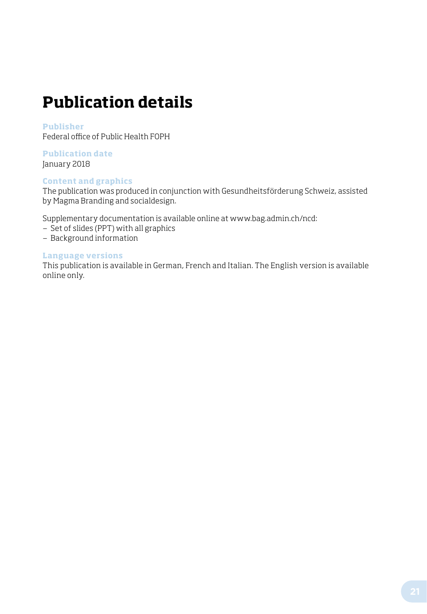## **Publication details**

#### **Publisher**

Federal office of Public Health FOPH

#### **Publication date**  January 2018

#### **Content and graphics**

The publication was produced in conjunction with Gesundheitsförderung Schweiz, assisted by Magma Branding and socialdesign.

Supplementary documentation is available online at www.bag.admin.ch/ncd:

- Set of slides (PPT) with all graphics
- Background information

#### **Language versions**

This publication is available in German, French and Italian. The English version is available online only.